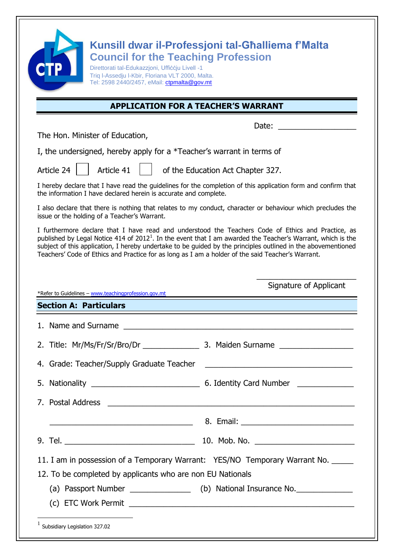| <b>Council for the Teaching Profession</b><br>Direttorati tal-Edukazzjoni, Uffiččju Livell -1<br>Triq I-Assedju I-Kbir, Floriana VLT 2000, Malta.<br>Tel: 2598 2440/2457, eMail: ctpmalta@gov.mt                                                                                                                                                                                                                                          | Kunsill dwar il-Professjoni tal-Għalliema f'Malta                                                                    |
|-------------------------------------------------------------------------------------------------------------------------------------------------------------------------------------------------------------------------------------------------------------------------------------------------------------------------------------------------------------------------------------------------------------------------------------------|----------------------------------------------------------------------------------------------------------------------|
|                                                                                                                                                                                                                                                                                                                                                                                                                                           | <b>APPLICATION FOR A TEACHER'S WARRANT</b>                                                                           |
|                                                                                                                                                                                                                                                                                                                                                                                                                                           | Date:                                                                                                                |
| The Hon. Minister of Education,                                                                                                                                                                                                                                                                                                                                                                                                           |                                                                                                                      |
| I, the undersigned, hereby apply for a *Teacher's warrant in terms of                                                                                                                                                                                                                                                                                                                                                                     |                                                                                                                      |
| Article 41<br>Article 24                                                                                                                                                                                                                                                                                                                                                                                                                  | of the Education Act Chapter 327.                                                                                    |
| I hereby declare that I have read the guidelines for the completion of this application form and confirm that<br>the information I have declared herein is accurate and complete.                                                                                                                                                                                                                                                         |                                                                                                                      |
| I also declare that there is nothing that relates to my conduct, character or behaviour which precludes the<br>issue or the holding of a Teacher's Warrant.                                                                                                                                                                                                                                                                               |                                                                                                                      |
|                                                                                                                                                                                                                                                                                                                                                                                                                                           |                                                                                                                      |
| I furthermore declare that I have read and understood the Teachers Code of Ethics and Practice, as<br>published by Legal Notice 414 of $20121$ . In the event that I am awarded the Teacher's Warrant, which is the<br>subject of this application, I hereby undertake to be guided by the principles outlined in the abovementioned<br>Teachers' Code of Ethics and Practice for as long as I am a holder of the said Teacher's Warrant. |                                                                                                                      |
| *Refer to Guidelines - www.teachingprofession.gov.mt                                                                                                                                                                                                                                                                                                                                                                                      | Signature of Applicant                                                                                               |
| <b>Section A: Particulars</b>                                                                                                                                                                                                                                                                                                                                                                                                             |                                                                                                                      |
|                                                                                                                                                                                                                                                                                                                                                                                                                                           |                                                                                                                      |
|                                                                                                                                                                                                                                                                                                                                                                                                                                           |                                                                                                                      |
|                                                                                                                                                                                                                                                                                                                                                                                                                                           |                                                                                                                      |
|                                                                                                                                                                                                                                                                                                                                                                                                                                           |                                                                                                                      |
|                                                                                                                                                                                                                                                                                                                                                                                                                                           |                                                                                                                      |
|                                                                                                                                                                                                                                                                                                                                                                                                                                           |                                                                                                                      |
|                                                                                                                                                                                                                                                                                                                                                                                                                                           |                                                                                                                      |
| 11. I am in possession of a Temporary Warrant: YES/NO Temporary Warrant No. _____                                                                                                                                                                                                                                                                                                                                                         | <u> 2008 - 2008 - 2008 - 2008 - 2019 - 2019 - 2019 - 2019 - 2019 - 2019 - 2019 - 2019 - 2019 - 2019 - 2019 - 201</u> |
| 12. To be completed by applicants who are non EU Nationals                                                                                                                                                                                                                                                                                                                                                                                |                                                                                                                      |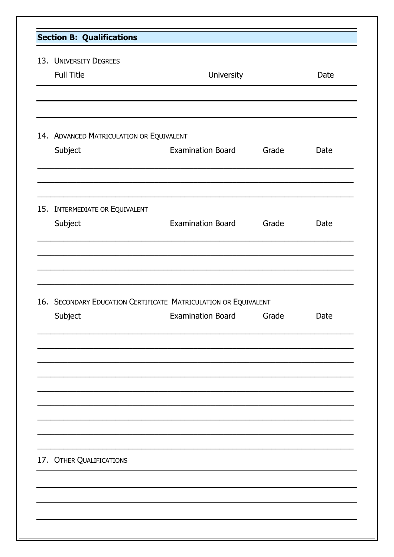| <b>Section B: Qualifications</b>         |                                                                                            |       |      |
|------------------------------------------|--------------------------------------------------------------------------------------------|-------|------|
| 13. UNIVERSITY DEGREES                   |                                                                                            |       |      |
| Full Title                               | University                                                                                 |       | Date |
|                                          |                                                                                            |       |      |
| 14. ADVANCED MATRICULATION OR EQUIVALENT |                                                                                            |       |      |
| Subject                                  | <b>Examination Board</b>                                                                   | Grade | Date |
| 15. INTERMEDIATE OR EQUIVALENT           |                                                                                            |       |      |
| Subject                                  | <b>Examination Board</b>                                                                   | Grade | Date |
|                                          |                                                                                            |       |      |
| Subject                                  | 16. SECONDARY EDUCATION CERTIFICATE MATRICULATION OR EQUIVALENT<br>Examination Board Grade |       | Date |
|                                          |                                                                                            |       |      |
|                                          |                                                                                            |       |      |
|                                          |                                                                                            |       |      |
|                                          |                                                                                            |       |      |
|                                          |                                                                                            |       |      |
|                                          |                                                                                            |       |      |
| 17. OTHER QUALIFICATIONS                 |                                                                                            |       |      |
|                                          |                                                                                            |       |      |
|                                          |                                                                                            |       |      |
|                                          |                                                                                            |       |      |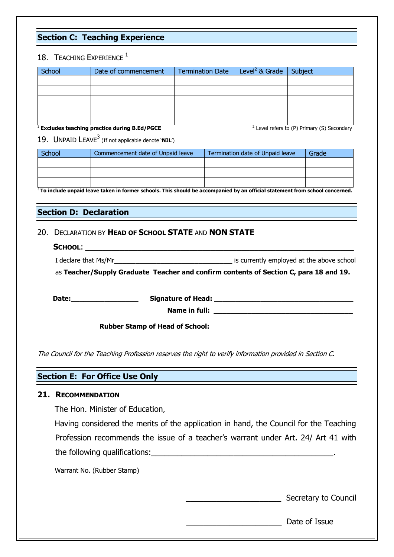# **Section C: Teaching Experience**

# 18. TEACHING EXPERIENCE  $1$

| School | Date of commencement | Termination Date $ $ Level <sup>2</sup> & Grade $ $ Subject |        |  |
|--------|----------------------|-------------------------------------------------------------|--------|--|
|        |                      |                                                             |        |  |
|        |                      |                                                             |        |  |
|        |                      |                                                             |        |  |
|        |                      |                                                             |        |  |
|        |                      |                                                             | $\sim$ |  |

<sup>1</sup> **Excludes teaching practice during B.Ed/PGCE** 

 $2$  Level refers to (P) Primary (S) Secondary

19. UNPAID LEAVE<sup>3</sup> (If not applicable denote **`NIL**')

| School | Commencement date of Unpaid leave | Termination date of Unpaid leave | Grade |
|--------|-----------------------------------|----------------------------------|-------|
|        |                                   |                                  |       |
|        |                                   |                                  |       |
|        |                                   |                                  |       |

3 **To include unpaid leave taken in former schools. This should be accompanied by an official statement from school concerned.** 

# **Section D: Declaration**

## 20. DECLARATION BY **HEAD OF SCHOOL STATE** AND **NON STATE**

| SCHOOL:              |                                           |
|----------------------|-------------------------------------------|
| I declare that Ms/Mr | is currently employed at the above school |

as **Teacher/Supply Graduate Teacher and confirm contents of Section C, para 18 and 19.**

 **Date:\_\_\_\_\_\_\_\_\_\_\_\_\_\_\_\_ Signature of Head: \_\_\_\_\_\_\_\_\_\_\_\_\_\_\_\_\_\_\_\_\_\_\_\_\_\_\_\_\_\_\_\_\_ Name in full:**  $\blacksquare$ 

 **Rubber Stamp of Head of School:**

The Council for the Teaching Profession reserves the right to verify information provided in Section C.

# **Section E: For Office Use Only**

## **21. RECOMMENDATION**

The Hon. Minister of Education,

 Having considered the merits of the application in hand, the Council for the Teaching Profession recommends the issue of a teacher's warrant under Art. 24/ Art 41 with the following qualifications:\_\_\_\_\_\_\_\_\_\_\_\_\_\_\_\_\_\_\_\_\_\_\_\_\_\_\_\_\_\_\_\_\_\_\_\_\_\_\_\_\_\_.

Warrant No. (Rubber Stamp)

\_\_\_\_\_\_\_\_\_\_\_\_\_\_\_\_\_\_\_\_\_\_ Secretary to Council

\_\_\_\_\_\_\_\_\_\_\_\_\_\_\_\_\_\_\_\_\_\_ Date of Issue